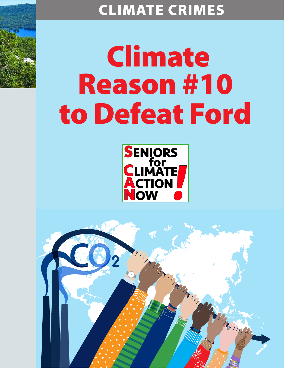## CLIMATE CRIMES

## Climate Reason #10 to Defeat Ford



Marian

Thompson